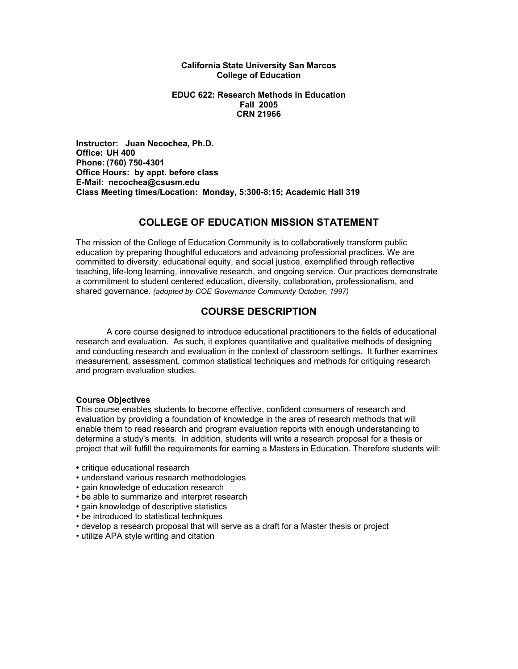#### **California State University San Marcos College of Education**

#### **EDUC 622: Research Methods in Education Fall 2005 CRN 21966**

**Instructor: Juan Necochea, Ph.D. Office: UH 400 Phone: (760) 750-4301 Office Hours: by appt. before class E-Mail: necochea@csusm.edu Class Meeting times/Location: Monday, 5:300-8:15; Academic Hall 319** 

# **COLLEGE OF EDUCATION MISSION STATEMENT**

The mission of the College of Education Community is to collaboratively transform public education by preparing thoughtful educators and advancing professional practices. We are committed to diversity, educational equity, and social justice, exemplified through reflective teaching, life-long learning, innovative research, and ongoing service. Our practices demonstrate a commitment to student centered education, diversity, collaboration, professionalism, and shared governance. *(adopted by COE Governance Community October, 1997)* 

# **COURSE DESCRIPTION**

 A core course designed to introduce educational practitioners to the fields of educational research and evaluation. As such, it explores quantitative and qualitative methods of designing and conducting research and evaluation in the context of classroom settings. It further examines measurement, assessment, common statistical techniques and methods for critiquing research and program evaluation studies.

#### **Course Objectives**

This course enables students to become effective, confident consumers of research and evaluation by providing a foundation of knowledge in the area of research methods that will enable them to read research and program evaluation reports with enough understanding to determine a study's merits. In addition, students will write a research proposal for a thesis or project that will fulfill the requirements for earning a Masters in Education. Therefore students will:

- critique educational research
- understand various research methodologies
- gain knowledge of education research
- be able to summarize and interpret research
- gain knowledge of descriptive statistics
- be introduced to statistical techniques
- develop a research proposal that will serve as a draft for a Master thesis or project
- utilize APA style writing and citation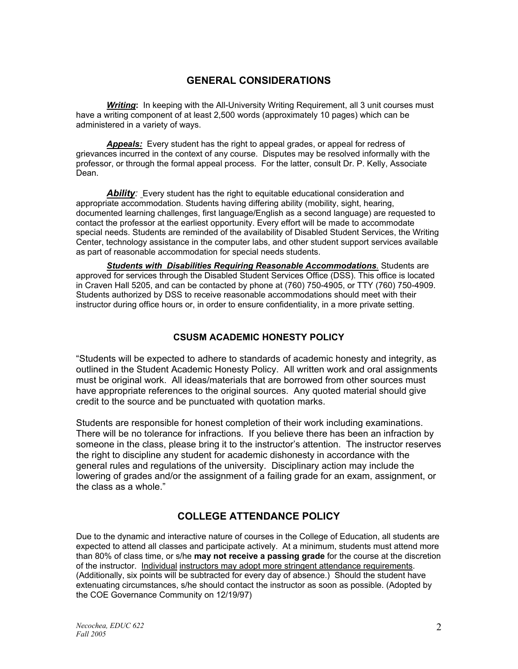# **GENERAL CONSIDERATIONS**

*Writing***:** In keeping with the All-University Writing Requirement, all 3 unit courses must have a writing component of at least 2,500 words (approximately 10 pages) which can be administered in a variety of ways.

*Appeals:* Every student has the right to appeal grades, or appeal for redress of grievances incurred in the context of any course. Disputes may be resolved informally with the professor, or through the formal appeal process. For the latter, consult Dr. P. Kelly, Associate Dean.

**Ability**: Every student has the right to equitable educational consideration and appropriate accommodation. Students having differing ability (mobility, sight, hearing, documented learning challenges, first language/English as a second language) are requested to contact the professor at the earliest opportunity. Every effort will be made to accommodate special needs. Students are reminded of the availability of Disabled Student Services, the Writing Center, technology assistance in the computer labs, and other student support services available as part of reasonable accommodation for special needs students.

*Students with Disabilities Requiring Reasonable Accommodations.* Students are approved for services through the Disabled Student Services Office (DSS). This office is located in Craven Hall 5205, and can be contacted by phone at (760) 750-4905, or TTY (760) 750-4909. Students authorized by DSS to receive reasonable accommodations should meet with their instructor during office hours or, in order to ensure confidentiality, in a more private setting.

## **CSUSM ACADEMIC HONESTY POLICY**

"Students will be expected to adhere to standards of academic honesty and integrity, as outlined in the Student Academic Honesty Policy. All written work and oral assignments must be original work. All ideas/materials that are borrowed from other sources must have appropriate references to the original sources. Any quoted material should give credit to the source and be punctuated with quotation marks.

Students are responsible for honest completion of their work including examinations. There will be no tolerance for infractions. If you believe there has been an infraction by someone in the class, please bring it to the instructor's attention. The instructor reserves the right to discipline any student for academic dishonesty in accordance with the general rules and regulations of the university. Disciplinary action may include the lowering of grades and/or the assignment of a failing grade for an exam, assignment, or the class as a whole."

# **COLLEGE ATTENDANCE POLICY**

Due to the dynamic and interactive nature of courses in the College of Education, all students are expected to attend all classes and participate actively. At a minimum, students must attend more than 80% of class time, or s/he **may not receive a passing grade** for the course at the discretion of the instructor. Individual instructors may adopt more stringent attendance requirements. (Additionally, six points will be subtracted for every day of absence.) Should the student have extenuating circumstances, s/he should contact the instructor as soon as possible. (Adopted by the COE Governance Community on 12/19/97)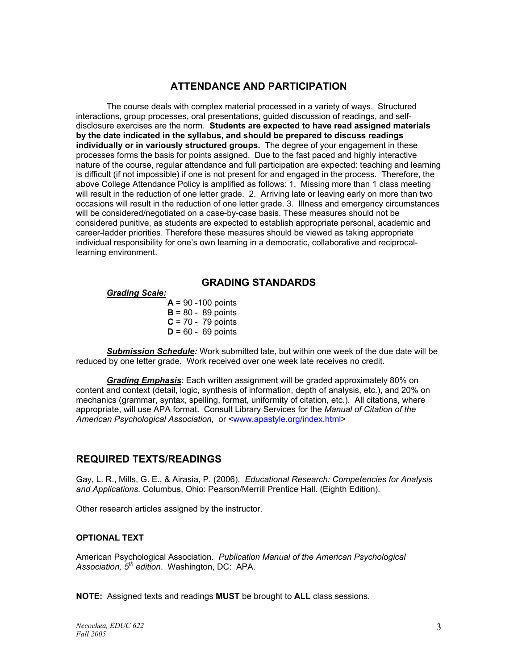## **ATTENDANCE AND PARTICIPATION**

The course deals with complex material processed in a variety of ways. Structured interactions, group processes, oral presentations, guided discussion of readings, and selfdisclosure exercises are the norm. **Students are expected to have read assigned materials by the date indicated in the syllabus, and should be prepared to discuss readings individually or in variously structured groups.** The degree of your engagement in these processes forms the basis for points assigned. Due to the fast paced and highly interactive nature of the course, regular attendance and full participation are expected: teaching and learning is difficult (if not impossible) if one is not present for and engaged in the process. Therefore, the above College Attendance Policy is amplified as follows: 1. Missing more than 1 class meeting will result in the reduction of one letter grade. 2. Arriving late or leaving early on more than two occasions will result in the reduction of one letter grade. 3. Illness and emergency circumstances will be considered/negotiated on a case-by-case basis. These measures should not be considered punitive, as students are expected to establish appropriate personal, academic and career-ladder priorities. Therefore these measures should be viewed as taking appropriate individual responsibility for one's own learning in a democratic, collaborative and reciprocallearning environment.

## **GRADING STANDARDS**

### *Grading Scale:*

 $A = 90 - 100$  points  $B = 80 - 89$  points  $C = 70 - 79$  points  $D = 60 - 69$  points

*Submission Schedule:* Work submitted late, but within one week of the due date will be reduced by one letter grade. Work received over one week late receives no credit.

*Grading Emphasis*: Each written assignment will be graded approximately 80% on content and context (detail, logic, synthesis of information, depth of analysis, etc.), and 20% on mechanics (grammar, syntax, spelling, format, uniformity of citation, etc.). All citations, where appropriate, will use APA format. Consult Library Services for the *Manual of Citation of the American Psychological Association,* or <www.apastyle.org/index.html>

## **REQUIRED TEXTS/READINGS**

Gay, L. R., Mills, G. E., & Airasia, P. (2006). *Educational Research: Competencies for Analysis and Applications.* Columbus, Ohio: Pearson/Merrill Prentice Hall. (Eighth Edition).

Other research articles assigned by the instructor.

#### **OPTIONAL TEXT**

American Psychological Association*. Publication Manual of the American Psychological Association, 5th edition*. Washington, DC: APA.

**NOTE:** Assigned texts and readings **MUST** be brought to **ALL** class sessions.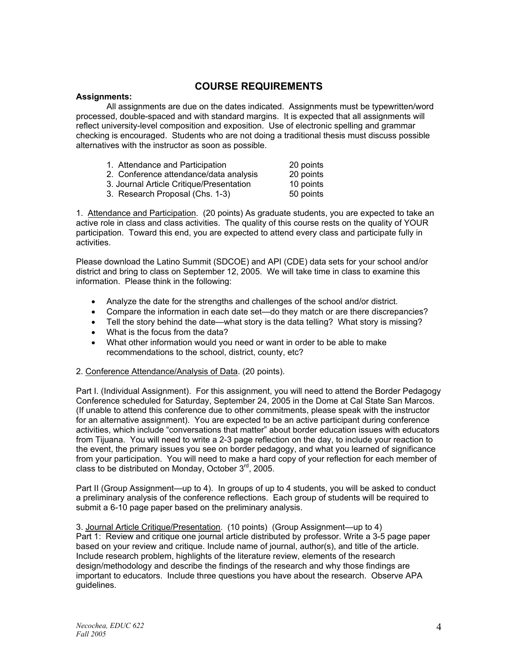## **COURSE REQUIREMENTS**

### **Assignments:**

 All assignments are due on the dates indicated. Assignments must be typewritten/word processed, double-spaced and with standard margins. It is expected that all assignments will reflect university-level composition and exposition. Use of electronic spelling and grammar checking is encouraged. Students who are not doing a traditional thesis must discuss possible alternatives with the instructor as soon as possible.

| 1. Attendance and Participation          | 20 points |
|------------------------------------------|-----------|
| 2. Conference attendance/data analysis   | 20 points |
| 3. Journal Article Critique/Presentation | 10 points |

3. Research Proposal (Chs. 1-3) 50 points

1. Attendance and Participation. (20 points) As graduate students, you are expected to take an active role in class and class activities. The quality of this course rests on the quality of YOUR participation. Toward this end, you are expected to attend every class and participate fully in activities.

Please download the Latino Summit (SDCOE) and API (CDE) data sets for your school and/or district and bring to class on September 12, 2005. We will take time in class to examine this information. Please think in the following:

- Analyze the date for the strengths and challenges of the school and/or district.
- Compare the information in each date set—do they match or are there discrepancies?
- Tell the story behind the date—what story is the data telling? What story is missing?
- What is the focus from the data?
- What other information would you need or want in order to be able to make recommendations to the school, district, county, etc?

#### 2. Conference Attendance/Analysis of Data. (20 points).

Part I. (Individual Assignment). For this assignment, you will need to attend the Border Pedagogy Conference scheduled for Saturday, September 24, 2005 in the Dome at Cal State San Marcos. (If unable to attend this conference due to other commitments, please speak with the instructor for an alternative assignment). You are expected to be an active participant during conference activities, which include "conversations that matter" about border education issues with educators from Tijuana. You will need to write a 2-3 page reflection on the day, to include your reaction to the event, the primary issues you see on border pedagogy, and what you learned of significance from your participation. You will need to make a hard copy of your reflection for each member of class to be distributed on Monday, October  $3<sup>rd</sup>$ , 2005.

Part II (Group Assignment—up to 4). In groups of up to 4 students, you will be asked to conduct a preliminary analysis of the conference reflections. Each group of students will be required to submit a 6-10 page paper based on the preliminary analysis.

3. Journal Article Critique/Presentation. (10 points) (Group Assignment—up to 4) Part 1: Review and critique one journal article distributed by professor. Write a 3-5 page paper based on your review and critique. Include name of journal, author(s), and title of the article. Include research problem, highlights of the literature review, elements of the research design/methodology and describe the findings of the research and why those findings are important to educators. Include three questions you have about the research. Observe APA guidelines.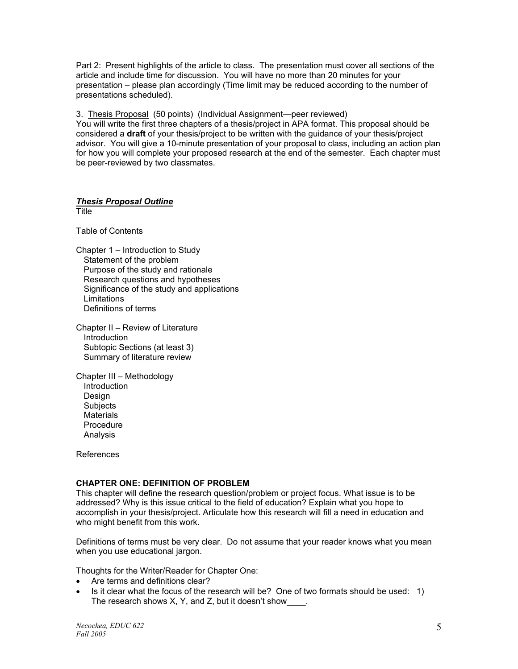Part 2: Present highlights of the article to class. The presentation must cover all sections of the article and include time for discussion. You will have no more than 20 minutes for your presentation – please plan accordingly (Time limit may be reduced according to the number of presentations scheduled).

3. Thesis Proposal (50 points) (Individual Assignment—peer reviewed) You will write the first three chapters of a thesis/project in APA format. This proposal should be considered a **draft** of your thesis/project to be written with the guidance of your thesis/project advisor. You will give a 10-minute presentation of your proposal to class, including an action plan for how you will complete your proposed research at the end of the semester. Each chapter must be peer-reviewed by two classmates.

#### *Thesis Proposal Outline* **Title**

Table of Contents

Chapter 1 – Introduction to Study Statement of the problem Purpose of the study and rationale Research questions and hypotheses Significance of the study and applications **Limitations** Definitions of terms

Chapter II – Review of Literature **Introduction**  Subtopic Sections (at least 3) Summary of literature review

Chapter III – Methodology Introduction Design **Subjects Materials**  Procedure Analysis

References

### **CHAPTER ONE: DEFINITION OF PROBLEM**

This chapter will define the research question/problem or project focus. What issue is to be addressed? Why is this issue critical to the field of education? Explain what you hope to accomplish in your thesis/project. Articulate how this research will fill a need in education and who might benefit from this work.

Definitions of terms must be very clear. Do not assume that your reader knows what you mean when you use educational jargon.

Thoughts for the Writer/Reader for Chapter One:

- Are terms and definitions clear?
- Is it clear what the focus of the research will be? One of two formats should be used: 1) The research shows X, Y, and Z, but it doesn't show  $\qquad$ .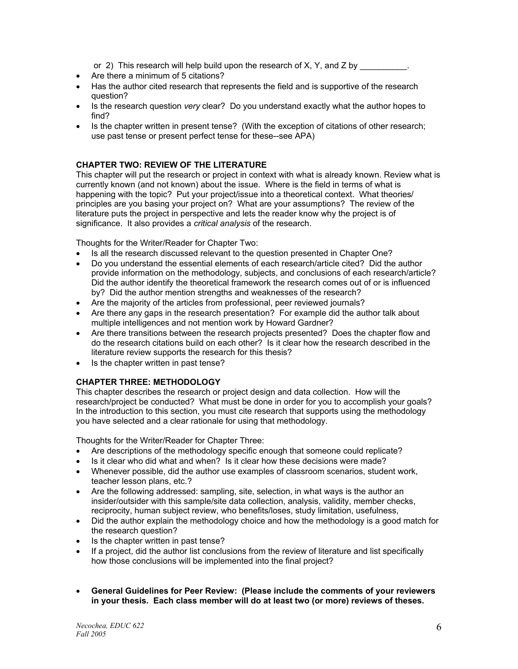or 2) This research will help build upon the research of X, Y, and Z by

- Are there a minimum of 5 citations?
- Has the author cited research that represents the field and is supportive of the research question?
- Is the research question *very* clear? Do you understand exactly what the author hopes to find?
- Is the chapter written in present tense? (With the exception of citations of other research; use past tense or present perfect tense for these--see APA)

### **CHAPTER TWO: REVIEW OF THE LITERATURE**

This chapter will put the research or project in context with what is already known. Review what is currently known (and not known) about the issue. Where is the field in terms of what is happening with the topic? Put your project/issue into a theoretical context. What theories/ principles are you basing your project on? What are your assumptions? The review of the literature puts the project in perspective and lets the reader know why the project is of significance. It also provides a *critical analysis* of the research.

Thoughts for the Writer/Reader for Chapter Two:

- Is all the research discussed relevant to the question presented in Chapter One?
- Do you understand the essential elements of each research/article cited? Did the author provide information on the methodology, subjects, and conclusions of each research/article? Did the author identify the theoretical framework the research comes out of or is influenced by? Did the author mention strengths and weaknesses of the research?
- Are the majority of the articles from professional, peer reviewed journals?
- Are there any gaps in the research presentation? For example did the author talk about multiple intelligences and not mention work by Howard Gardner?
- Are there transitions between the research projects presented? Does the chapter flow and do the research citations build on each other? Is it clear how the research described in the literature review supports the research for this thesis?
- Is the chapter written in past tense?

### **CHAPTER THREE: METHODOLOGY**

This chapter describes the research or project design and data collection. How will the research/project be conducted? What must be done in order for you to accomplish your goals? In the introduction to this section, you must cite research that supports using the methodology you have selected and a clear rationale for using that methodology.

Thoughts for the Writer/Reader for Chapter Three:

- Are descriptions of the methodology specific enough that someone could replicate?
- Is it clear who did what and when? Is it clear how these decisions were made?
- Whenever possible, did the author use examples of classroom scenarios, student work, teacher lesson plans, etc.?
- Are the following addressed: sampling, site, selection, in what ways is the author an insider/outsider with this sample/site data collection, analysis, validity, member checks, reciprocity, human subject review, who benefits/loses, study limitation, usefulness,
- Did the author explain the methodology choice and how the methodology is a good match for the research question?
- Is the chapter written in past tense?
- If a project, did the author list conclusions from the review of literature and list specifically how those conclusions will be implemented into the final project?
- **General Guidelines for Peer Review: (Please include the comments of your reviewers in your thesis. Each class member will do at least two (or more) reviews of theses.**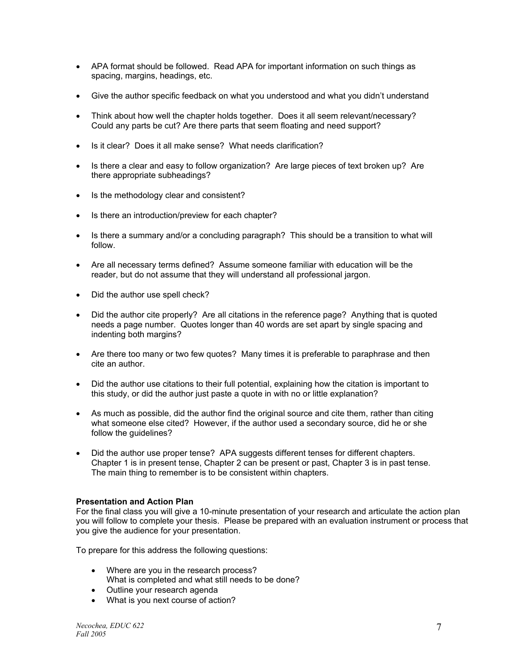- APA format should be followed. Read APA for important information on such things as spacing, margins, headings, etc.
- Give the author specific feedback on what you understood and what you didn't understand
- Think about how well the chapter holds together. Does it all seem relevant/necessary? Could any parts be cut? Are there parts that seem floating and need support?
- Is it clear? Does it all make sense? What needs clarification?
- Is there a clear and easy to follow organization? Are large pieces of text broken up? Are there appropriate subheadings?
- Is the methodology clear and consistent?
- Is there an introduction/preview for each chapter?
- Is there a summary and/or a concluding paragraph? This should be a transition to what will follow.
- Are all necessary terms defined? Assume someone familiar with education will be the reader, but do not assume that they will understand all professional jargon.
- Did the author use spell check?
- Did the author cite properly? Are all citations in the reference page? Anything that is quoted needs a page number. Quotes longer than 40 words are set apart by single spacing and indenting both margins?
- Are there too many or two few quotes? Many times it is preferable to paraphrase and then cite an author.
- Did the author use citations to their full potential, explaining how the citation is important to this study, or did the author just paste a quote in with no or little explanation?
- As much as possible, did the author find the original source and cite them, rather than citing what someone else cited? However, if the author used a secondary source, did he or she follow the guidelines?
- Did the author use proper tense? APA suggests different tenses for different chapters. Chapter 1 is in present tense, Chapter 2 can be present or past, Chapter 3 is in past tense. The main thing to remember is to be consistent within chapters.

### **Presentation and Action Plan**

For the final class you will give a 10-minute presentation of your research and articulate the action plan you will follow to complete your thesis. Please be prepared with an evaluation instrument or process that you give the audience for your presentation.

To prepare for this address the following questions:

- Where are you in the research process? What is completed and what still needs to be done?
- Outline your research agenda
- What is you next course of action?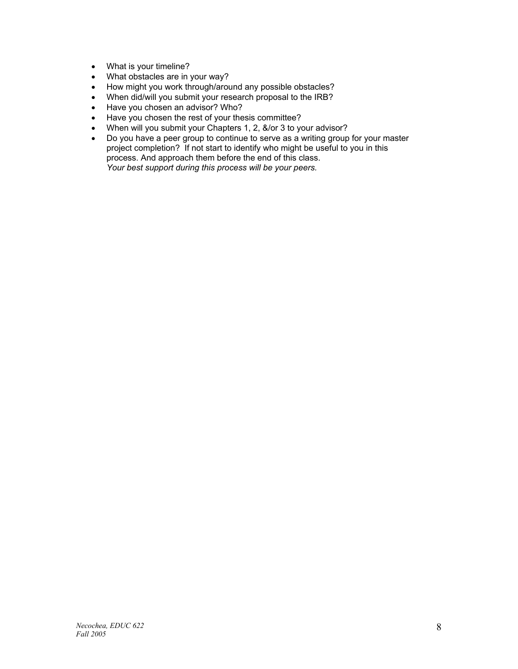- What is your timeline?
- What obstacles are in your way?
- How might you work through/around any possible obstacles?
- When did/will you submit your research proposal to the IRB?
- Have you chosen an advisor? Who?
- Have you chosen the rest of your thesis committee?
- When will you submit your Chapters 1, 2, &/or 3 to your advisor?
- Do you have a peer group to continue to serve as a writing group for your master project completion? If not start to identify who might be useful to you in this process. And approach them before the end of this class. *Your best support during this process will be your peers.*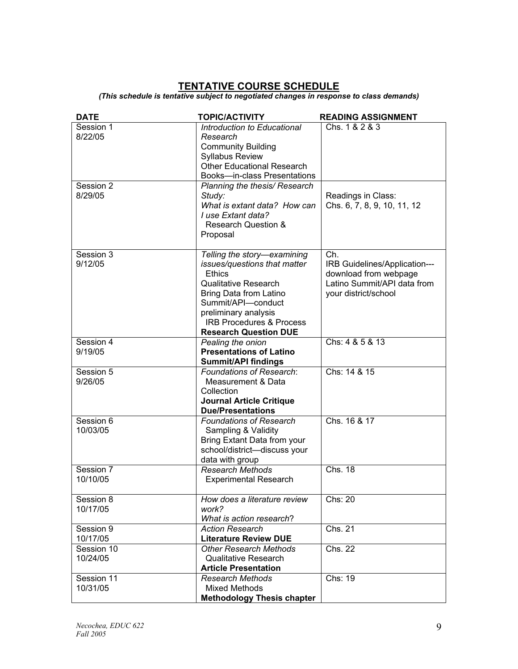# **TENTATIVE COURSE SCHEDULE**

*(This schedule is tentative subject to negotiated changes in response to class demands)* 

| <b>DATE</b>                                  | <b>TOPIC/ACTIVITY</b>                                                                                                                                                                                                                                                                                  | <b>READING ASSIGNMENT</b>                                                                                            |
|----------------------------------------------|--------------------------------------------------------------------------------------------------------------------------------------------------------------------------------------------------------------------------------------------------------------------------------------------------------|----------------------------------------------------------------------------------------------------------------------|
| Session 1<br>8/22/05<br>Session 2<br>8/29/05 | Introduction to Educational<br>Research<br><b>Community Building</b><br><b>Syllabus Review</b><br><b>Other Educational Research</b><br>Books-in-class Presentations<br>Planning the thesis/ Research<br>Study:<br>What is extant data? How can<br>I use Extant data?<br><b>Research Question &amp;</b> | Chs. 1 & 2 & 3<br>Readings in Class:<br>Chs. 6, 7, 8, 9, 10, 11, 12                                                  |
|                                              | Proposal                                                                                                                                                                                                                                                                                               |                                                                                                                      |
| Session 3<br>9/12/05                         | Telling the story-examining<br>issues/questions that matter<br><b>Ethics</b><br><b>Qualitative Research</b><br>Bring Data from Latino<br>Summit/API-conduct<br>preliminary analysis<br><b>IRB Procedures &amp; Process</b><br><b>Research Question DUE</b>                                             | Ch.<br>IRB Guidelines/Application---<br>download from webpage<br>Latino Summit/API data from<br>your district/school |
| Session 4<br>9/19/05                         | Pealing the onion<br><b>Presentations of Latino</b><br><b>Summit/API findings</b>                                                                                                                                                                                                                      | Chs: 4 & 5 & 13                                                                                                      |
| Session 5<br>9/26/05                         | <b>Foundations of Research:</b><br>Measurement & Data<br>Collection<br><b>Journal Article Critique</b><br><b>Due/Presentations</b>                                                                                                                                                                     | Chs: 14 & 15                                                                                                         |
| Session 6<br>10/03/05                        | <b>Foundations of Research</b><br>Sampling & Validity<br>Bring Extant Data from your<br>school/district-discuss your<br>data with group                                                                                                                                                                | Chs. 16 & 17                                                                                                         |
| Session 7<br>10/10/05                        | Research Methods<br><b>Experimental Research</b>                                                                                                                                                                                                                                                       | Chs. 18                                                                                                              |
| Session 8<br>10/17/05                        | How does a literature review<br>work?<br>What is action research?                                                                                                                                                                                                                                      | Chs: 20                                                                                                              |
| Session 9                                    | <b>Action Research</b>                                                                                                                                                                                                                                                                                 | Chs. 21                                                                                                              |
| 10/17/05<br>Session 10<br>10/24/05           | <b>Literature Review DUE</b><br><b>Other Research Methods</b><br><b>Qualitative Research</b><br><b>Article Presentation</b>                                                                                                                                                                            | Chs. 22                                                                                                              |
| Session 11<br>10/31/05                       | <b>Research Methods</b><br><b>Mixed Methods</b><br><b>Methodology Thesis chapter</b>                                                                                                                                                                                                                   | Chs: 19                                                                                                              |